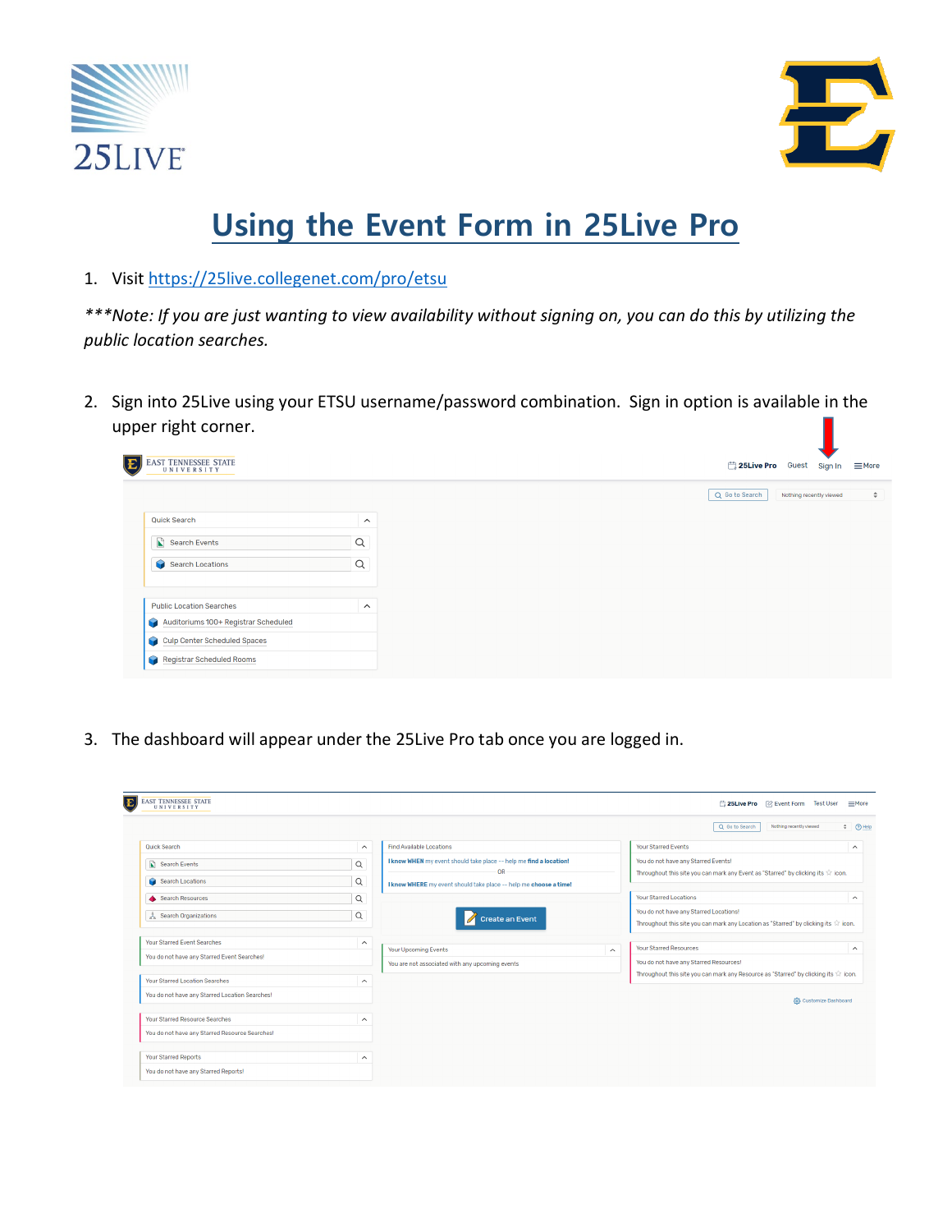



# **Using the Event Form in 25Live Pro**

1. Visit https://25live.collegenet.com/pro/etsu

*\*\*\*Note: If you are just wanting to view availability without signing on, you can do this by utilizing the public location searches.* 

2. Sign into 25Live using your ETSU username/password combination. Sign in option is available in the upper right corner.



3. The dashboard will appear under the 25Live Pro tab once you are logged in.

|                                                |                         |                                                                                |                         | Q Go to Search<br>Nothing recently viewed                                                                                             | $\div$ $\odot$ Help     |
|------------------------------------------------|-------------------------|--------------------------------------------------------------------------------|-------------------------|---------------------------------------------------------------------------------------------------------------------------------------|-------------------------|
| <b>Ouick Search</b>                            | $\widehat{\phantom{a}}$ | <b>Find Available Locations</b>                                                |                         | <b>Your Starred Events</b>                                                                                                            | $\widehat{\phantom{a}}$ |
| Search Events                                  | $\alpha$                | I know WHEN my event should take place -- help me find a location!             |                         | You do not have any Starred Events!                                                                                                   |                         |
| Search Locations                               | $\alpha$                | <b>OR</b><br>I know WHERE my event should take place -- help me choose a time! |                         | Throughout this site you can mark any Event as "Starred" by clicking its $\Diamond$ icon.                                             |                         |
| Search Resources                               | $\alpha$                |                                                                                |                         | <b>Your Starred Locations</b>                                                                                                         | $\wedge$                |
| $\frac{a}{a^2}$ Search Organizations           | $\alpha$                | Create an Event                                                                |                         | You do not have any Starred Locations!<br>Throughout this site you can mark any Location as "Starred" by clicking its $\hat{W}$ icon. |                         |
| <b>Your Starred Event Searches</b>             | $\hat{\phantom{a}}$     | Your Upcoming Events                                                           | $\widehat{\phantom{a}}$ | <b>Your Starred Resources</b>                                                                                                         | $\widehat{\phantom{a}}$ |
| You do not have any Starred Event Searches!    |                         | You are not associated with any upcoming events                                |                         | You do not have any Starred Resources!                                                                                                |                         |
| Your Starred Location Searches                 | $\widehat{\phantom{1}}$ |                                                                                |                         | Throughout this site you can mark any Resource as "Starred" by clicking its $\hat{W}$ icon.                                           |                         |
| You do not have any Starred Location Searches! |                         |                                                                                |                         | (6) Customize Dashboard                                                                                                               |                         |
| <b>Your Starred Resource Searches</b>          | $\widehat{\phantom{a}}$ |                                                                                |                         |                                                                                                                                       |                         |
| You do not have any Starred Resource Searches! |                         |                                                                                |                         |                                                                                                                                       |                         |
| <b>Your Starred Reports</b>                    | $\hat{\phantom{a}}$     |                                                                                |                         |                                                                                                                                       |                         |
| You do not have any Starred Reports!           |                         |                                                                                |                         |                                                                                                                                       |                         |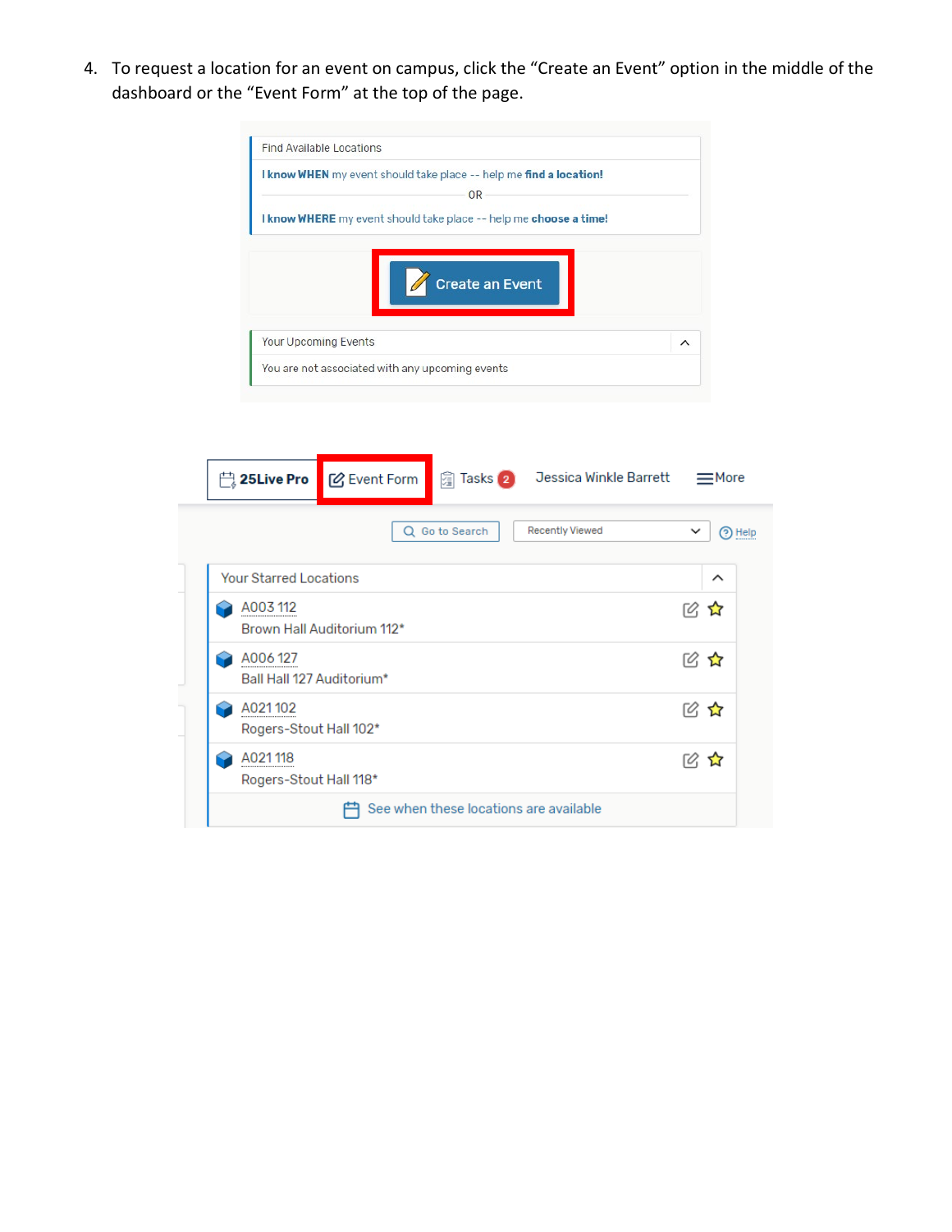4. To request a location for an event on campus, click the "Create an Event" option in the middle of the dashboard or the "Event Form" at the top of the page.



| $\Box$ 25Live Pro                    | <b>M</b> Event Form        |                                        | 图 Tasks 2 Jessica Winkle Barrett | $\equiv$ More          |
|--------------------------------------|----------------------------|----------------------------------------|----------------------------------|------------------------|
|                                      | Q                          | Go to Search                           | <b>Recently Viewed</b>           | $\check{ }$<br>?) Help |
| <b>Your Starred Locations</b>        |                            |                                        |                                  | ᄉ                      |
| A003 112                             | Brown Hall Auditorium 112* |                                        |                                  | 12 な                   |
| A006127<br>Ball Hall 127 Auditorium* |                            |                                        |                                  | ぼく ふくしょう じょうしょう        |
| A021102<br>Rogers-Stout Hall 102*    |                            |                                        |                                  | ピ な                    |
| A021118<br>Rogers-Stout Hall 118*    |                            |                                        |                                  | ☑ ☆                    |
|                                      |                            | See when these locations are available |                                  |                        |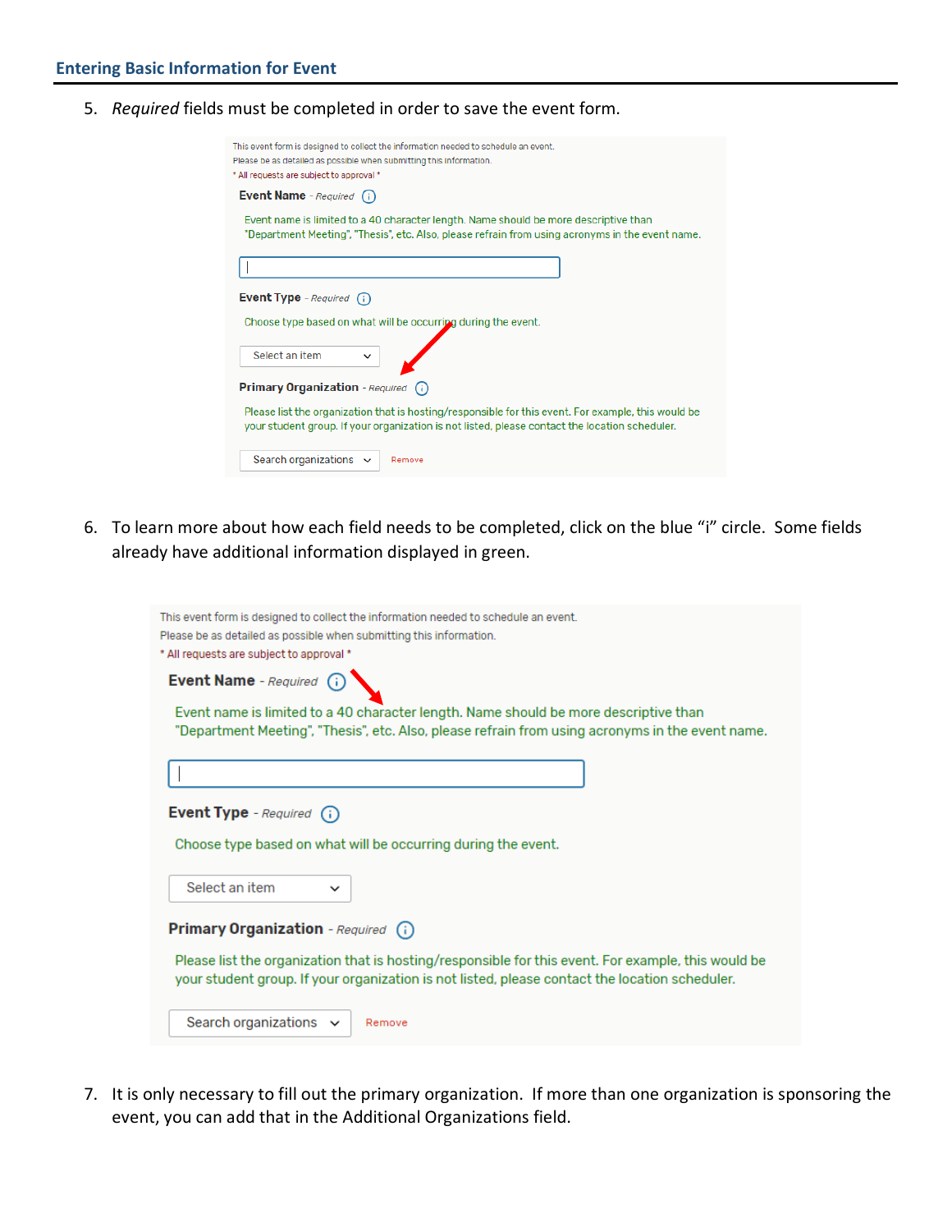5. *Required* fields must be completed in order to save the event form.

| This event form is designed to collect the information needed to schedule an event.<br>Please be as detailed as possible when submitting this information.<br>* All requests are subject to approval * |
|--------------------------------------------------------------------------------------------------------------------------------------------------------------------------------------------------------|
| <b>Event Name</b> - Required (i)                                                                                                                                                                       |
| Event name is limited to a 40 character length. Name should be more descriptive than<br>"Department Meeting", "Thesis", etc. Also, please refrain from using acronyms in the event name.               |
|                                                                                                                                                                                                        |
| <b>Event Type</b> - Required $(i)$                                                                                                                                                                     |
| Choose type based on what will be occurring during the event.                                                                                                                                          |
| Select an item<br>$\check{ }$                                                                                                                                                                          |
| <b>Primary Organization</b> - Required (i)                                                                                                                                                             |
| Please list the organization that is hosting/responsible for this event. For example, this would be<br>your student group. If your organization is not listed, please contact the location scheduler.  |
| Search organizations $\sim$<br>Remove                                                                                                                                                                  |

6. To learn more about how each field needs to be completed, click on the blue "i" circle. Some fields already have additional information displayed in green.

| This event form is designed to collect the information needed to schedule an event.<br>Please be as detailed as possible when submitting this information.<br>* All requests are subject to approval * |
|--------------------------------------------------------------------------------------------------------------------------------------------------------------------------------------------------------|
| Event Name - Required (i)                                                                                                                                                                              |
| Event name is limited to a 40 character length. Name should be more descriptive than<br>"Department Meeting", "Thesis", etc. Also, please refrain from using acronyms in the event name.               |
|                                                                                                                                                                                                        |
| Event Type - Required (i)                                                                                                                                                                              |
| Choose type based on what will be occurring during the event.                                                                                                                                          |
| Select an item<br>$\check{ }$                                                                                                                                                                          |
| Primary Organization - Required (i)                                                                                                                                                                    |
| Please list the organization that is hosting/responsible for this event. For example, this would be<br>your student group. If your organization is not listed, please contact the location scheduler.  |
| Search organizations $\sim$<br>Remove                                                                                                                                                                  |

7. It is only necessary to fill out the primary organization. If more than one organization is sponsoring the event, you can add that in the Additional Organizations field.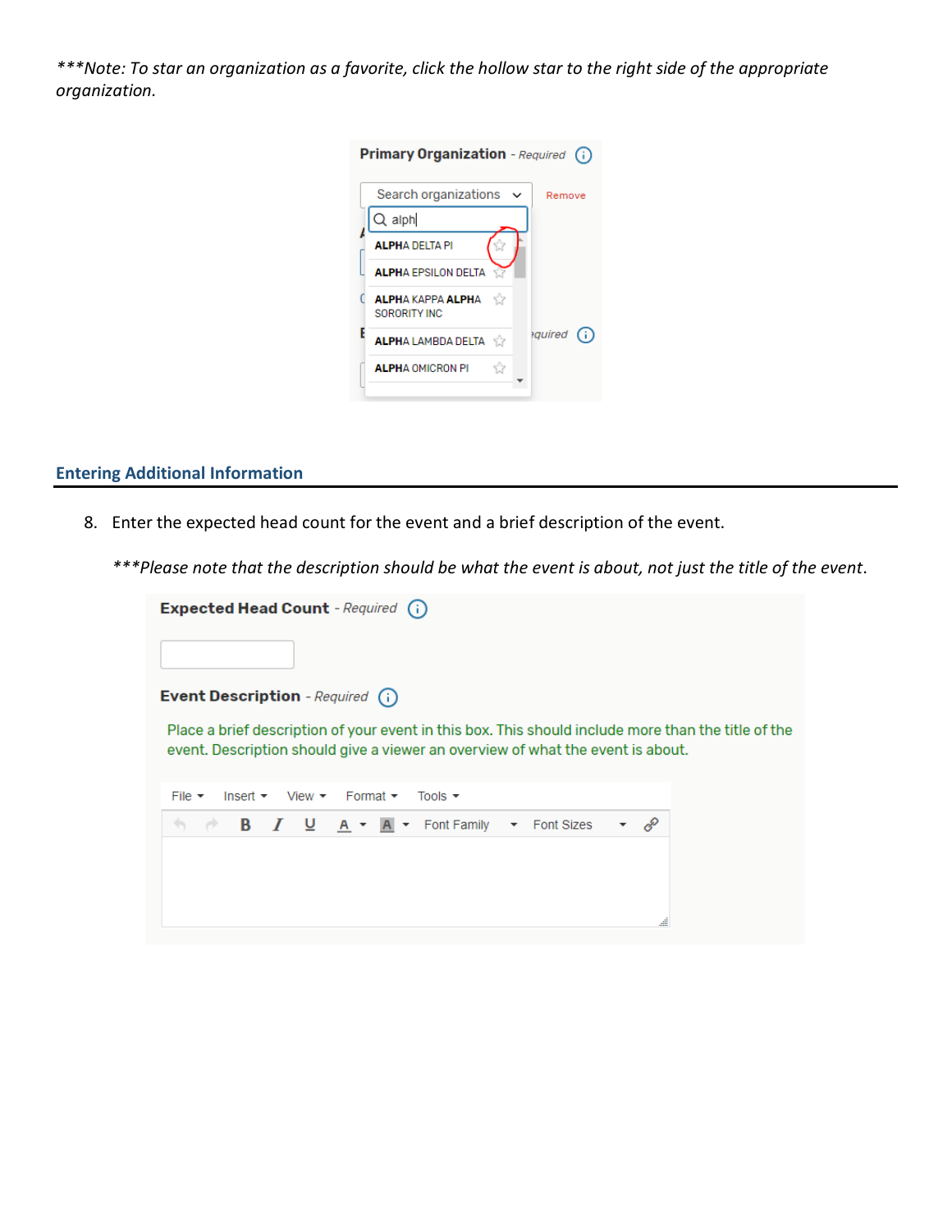*\*\*\*Note: To star an organization as a favorite, click the hollow star to the right side of the appropriate organization.* 

| <b>Primary Organization</b> - Required<br>(i)     |
|---------------------------------------------------|
| Search organizations<br>Remove                    |
| $Q$ alph                                          |
| <b>ALPHA DELTA PI</b>                             |
| <b>ALPHA EPSILON DELTA</b>                        |
| <b>ALPHA KAPPA ALPHA</b><br>- 52<br>SORORITY INC. |
| auired<br>G)<br><b>ALPHA LAMBDA DELTA</b>         |
| Y.<br><b>ALPHA OMICRON PI</b>                     |

## **Entering Additional Information**

- 8. Enter the expected head count for the event and a brief description of the event.
	- *\*\*\*Please note that the description should be what the event is about, not just the title of the event*.

| <b>Expected Head Count</b> - Required (i)                                                                                                                                              |  |  |  |  |
|----------------------------------------------------------------------------------------------------------------------------------------------------------------------------------------|--|--|--|--|
|                                                                                                                                                                                        |  |  |  |  |
| <b>Event Description</b> - Required (i)                                                                                                                                                |  |  |  |  |
| Place a brief description of your event in this box. This should include more than the title of the<br>event. Description should give a viewer an overview of what the event is about. |  |  |  |  |
| Insert $\bullet$ View $\bullet$ Format $\bullet$<br>File $\star$<br>Tools $\rightarrow$                                                                                                |  |  |  |  |
| P<br>$I \cup A \cdot A$ Font Family $\cdot$ Font Sizes<br><b>B</b>                                                                                                                     |  |  |  |  |
|                                                                                                                                                                                        |  |  |  |  |
|                                                                                                                                                                                        |  |  |  |  |
|                                                                                                                                                                                        |  |  |  |  |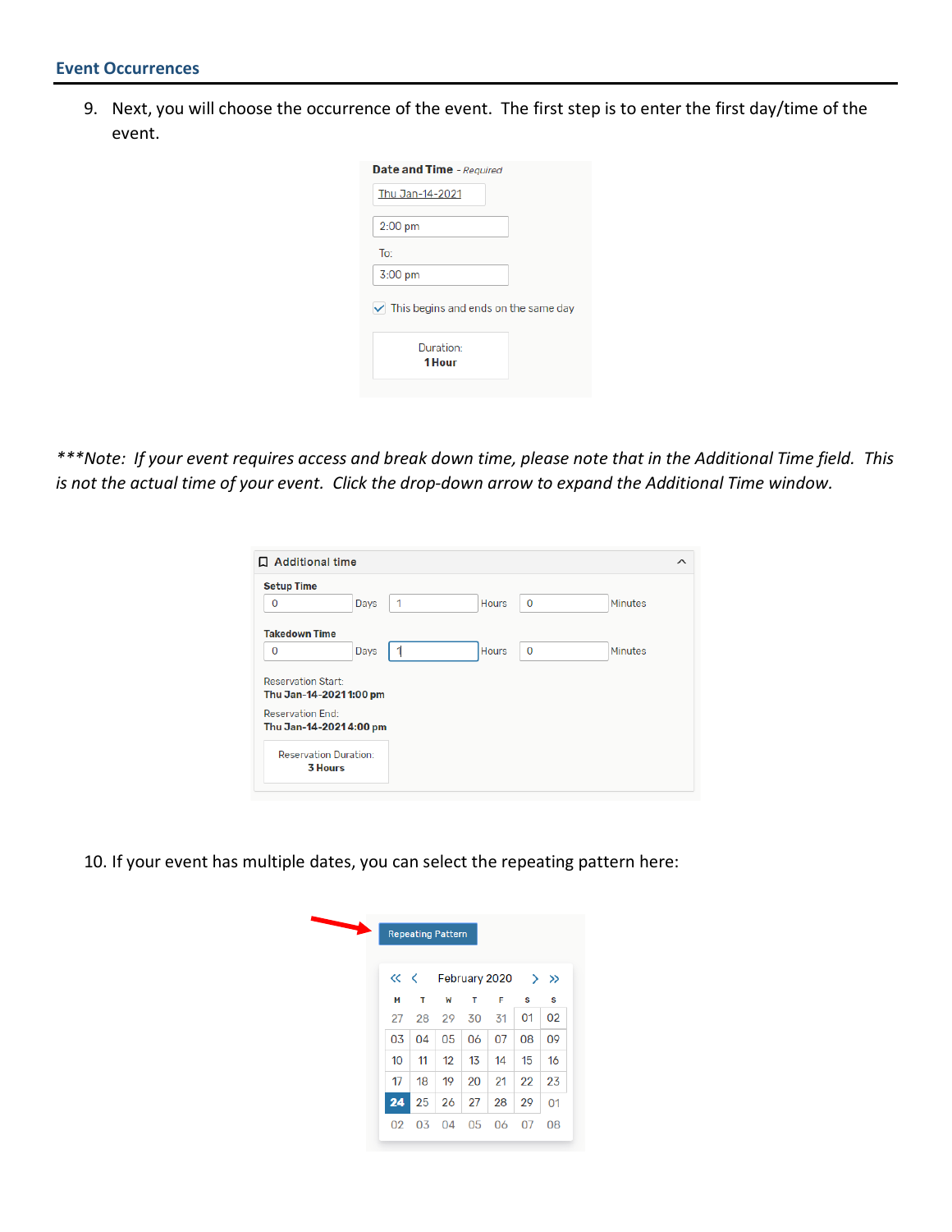9. Next, you will choose the occurrence of the event. The first step is to enter the first day/time of the event.

| <b>Date and Time</b> - Required             |
|---------------------------------------------|
| Thu Jan-14-2021                             |
| $2:00$ pm                                   |
| To:                                         |
| $3:00$ pm                                   |
| $\vee$ This begins and ends on the same day |
| Duration:                                   |
| 1 Hour                                      |

*\*\*\*Note: If your event requires access and break down time, please note that in the Additional Time field. This is not the actual time of your event. Click the drop-down arrow to expand the Additional Time window.*

| 口 Additional time                                   |      |   |              |             | $\wedge$ |
|-----------------------------------------------------|------|---|--------------|-------------|----------|
| <b>Setup Time</b>                                   |      |   |              |             |          |
| $\overline{0}$                                      | Days | 1 | <b>Hours</b> | $\bf{0}$    | Minutes  |
| <b>Takedown Time</b>                                |      |   |              |             |          |
| 0                                                   | Days |   | <b>Hours</b> | $\mathbf 0$ | Minutes  |
| <b>Reservation Start:</b><br>Thu Jan-14-20211:00 pm |      |   |              |             |          |
| <b>Reservation End:</b><br>Thu Jan-14-20214:00 pm   |      |   |              |             |          |
| <b>Reservation Duration:</b><br><b>3 Hours</b>      |      |   |              |             |          |

10. If your event has multiple dates, you can select the repeating pattern here:

|    | <b>Repeating Pattern</b> |              |     |                                                                            |    |    |
|----|--------------------------|--------------|-----|----------------------------------------------------------------------------|----|----|
|    |                          |              |     | $\left\langle \left\langle \right\rangle \right\rangle$ February 2020 > >> |    |    |
| М  | т                        | W            | т   | F                                                                          | s  | S  |
| 27 |                          | 28 29 30     |     | 31                                                                         | 01 | 02 |
| 03 | 04                       | 05           | 06  | 07                                                                         | 08 | 09 |
| 10 | 11                       | $12^{\circ}$ | -13 | 14                                                                         | 15 | 16 |
| 17 | 18                       | 19           | 20  | $\sqrt{21}$                                                                | 22 | 23 |
| 24 | 25                       | 26           | 27  | 28                                                                         | 29 | 01 |
| 02 | 03                       | 04           | 05  | 06                                                                         | 07 | 08 |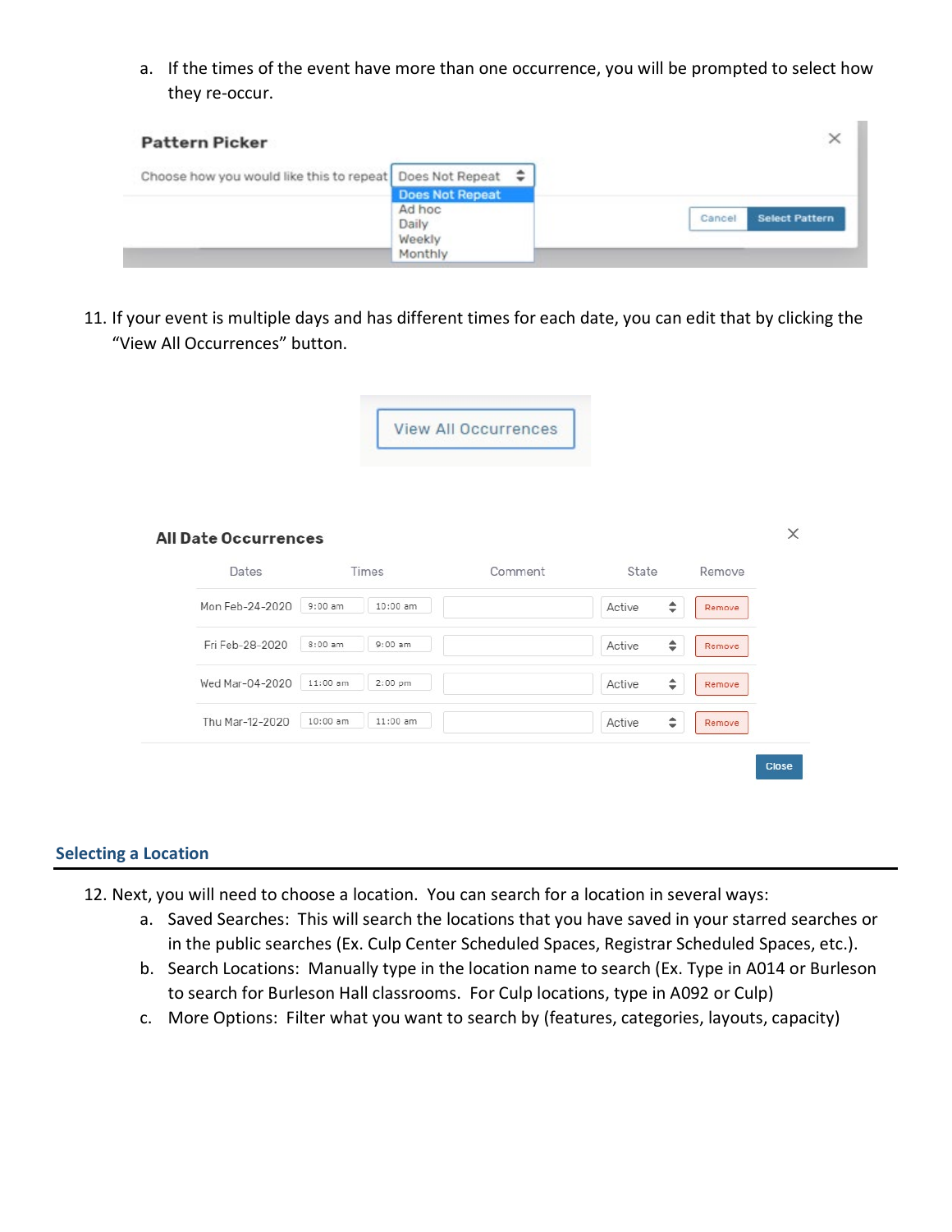a. If the times of the event have more than one occurrence, you will be prompted to select how they re-occur.

| <b>Pattern Picker</b>                                           |                   | $\times$                        |
|-----------------------------------------------------------------|-------------------|---------------------------------|
| Choose how you would like this to repeat Does Not Repeat $\div$ |                   |                                 |
|                                                                 | Does Not Repeat   |                                 |
|                                                                 | Ad hoc<br>Daily   | <b>Select Pattern</b><br>Cancel |
|                                                                 | Weekly<br>Monthly |                                 |

11. If your event is multiple days and has different times for each date, you can edit that by clicking the "View All Occurrences" button.



| Dates           | Times                    | Comment | State       | Remove |
|-----------------|--------------------------|---------|-------------|--------|
| Mon Feb-24-2020 | $9:00$ am<br>$10:00$ am  |         | ÷<br>Active | Remove |
| Fri Feb-28-2020 | $8:00$ am<br>$9:00$ am   |         | ÷<br>Active | Remove |
| Wed Mar-04-2020 | $11:00$ am<br>$2:00$ pm  |         | ÷<br>Active | Remove |
| Thu Mar-12-2020 | $10:00$ am<br>$11:00$ am |         | ÷<br>Active | Remove |

### **Selecting a Location**

- 12. Next, you will need to choose a location. You can search for a location in several ways:
	- a. Saved Searches: This will search the locations that you have saved in your starred searches or in the public searches (Ex. Culp Center Scheduled Spaces, Registrar Scheduled Spaces, etc.).
	- b. Search Locations: Manually type in the location name to search (Ex. Type in A014 or Burleson to search for Burleson Hall classrooms. For Culp locations, type in A092 or Culp)
	- c. More Options: Filter what you want to search by (features, categories, layouts, capacity)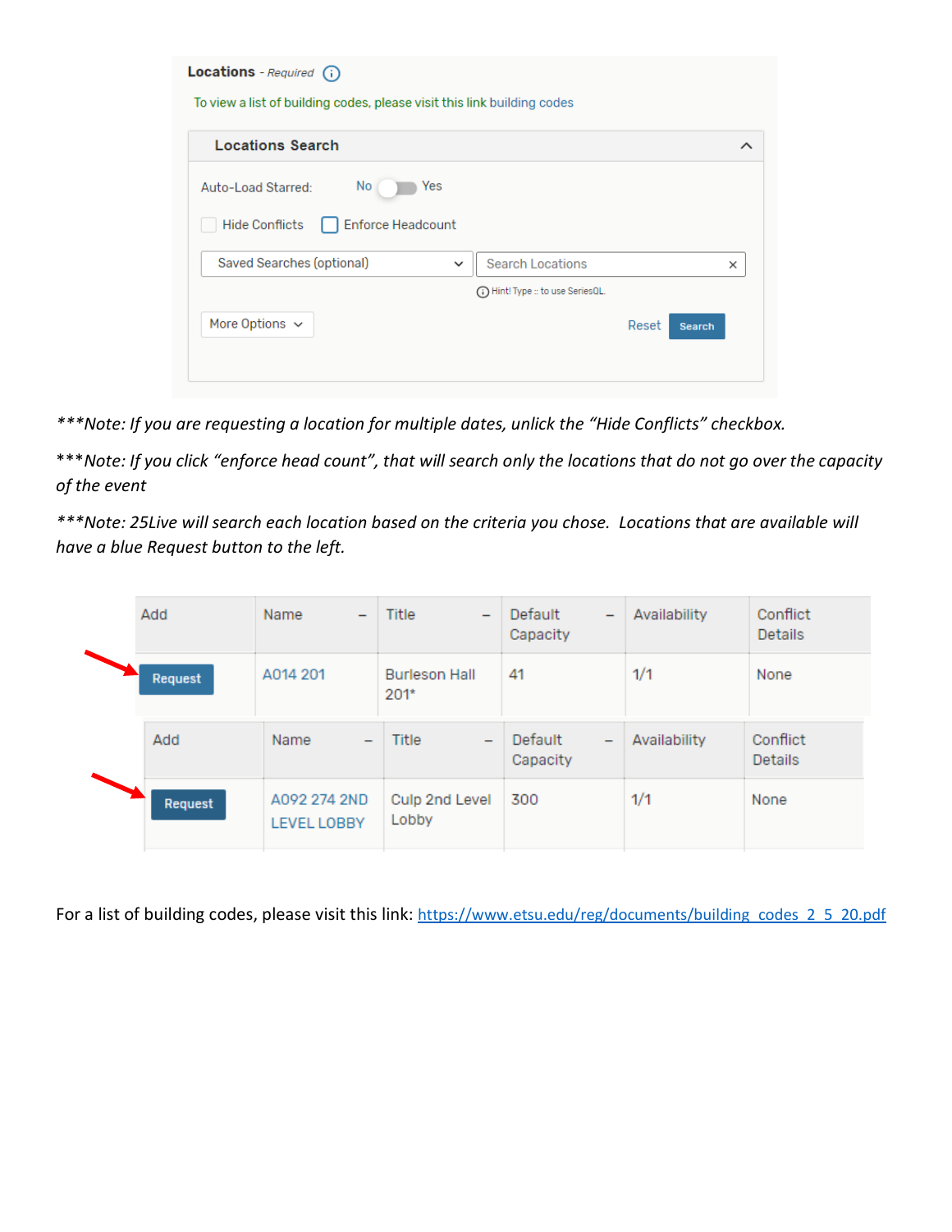| Locations - Required (i)<br>To view a list of building codes, please visit this link building codes |                                      |  |  |  |  |
|-----------------------------------------------------------------------------------------------------|--------------------------------------|--|--|--|--|
| <b>Locations Search</b>                                                                             | ∧                                    |  |  |  |  |
| No l<br>Yes<br>Auto-Load Starred:<br><b>Enforce Headcount</b><br><b>Hide Conflicts</b>              |                                      |  |  |  |  |
| Saved Searches (optional)<br>$\check{ }$                                                            | <b>Search Locations</b><br>×         |  |  |  |  |
|                                                                                                     | (iii) Hint! Type :: to use SeriesQL. |  |  |  |  |
| More Options $\sim$                                                                                 | Reset<br><b>Search</b>               |  |  |  |  |
|                                                                                                     |                                      |  |  |  |  |

*\*\*\*Note: If you are requesting a location for multiple dates, unlick the "Hide Conflicts" checkbox.* 

\*\*\**Note: If you click "enforce head count", that will search only the locations that do not go over the capacity of the event*

*\*\*\*Note: 25Live will search each location based on the criteria you chose. Locations that are available will have a blue Request button to the left.*

| Add     | Name<br>$\qquad \qquad$                     | Title<br>$\overline{\phantom{0}}$ | Default<br>$\overline{\phantom{0}}$<br>Capacity | Availability | Conflict<br><b>Details</b> |
|---------|---------------------------------------------|-----------------------------------|-------------------------------------------------|--------------|----------------------------|
| Request | A014 201                                    | <b>Burleson Hall</b><br>$201*$    | 41                                              | 1/1          | None                       |
| Add     | <b>Name</b><br>$\qquad \qquad \blacksquare$ | Title<br>$\overline{\phantom{m}}$ | Default<br>$\qquad \qquad$<br>Capacity          | Availability | Conflict<br><b>Details</b> |
| Request | A092 274 2ND<br><b>LEVEL LOBBY</b>          | Culp 2nd Level<br>Lobby           | 300                                             | 1/1          | None                       |

For a list of building codes, please visit this link: [https://www.etsu.edu/reg/documents/building\\_codes\\_2\\_5\\_20.pdf](https://www.etsu.edu/reg/documents/building_codes_2_5_20.pdf)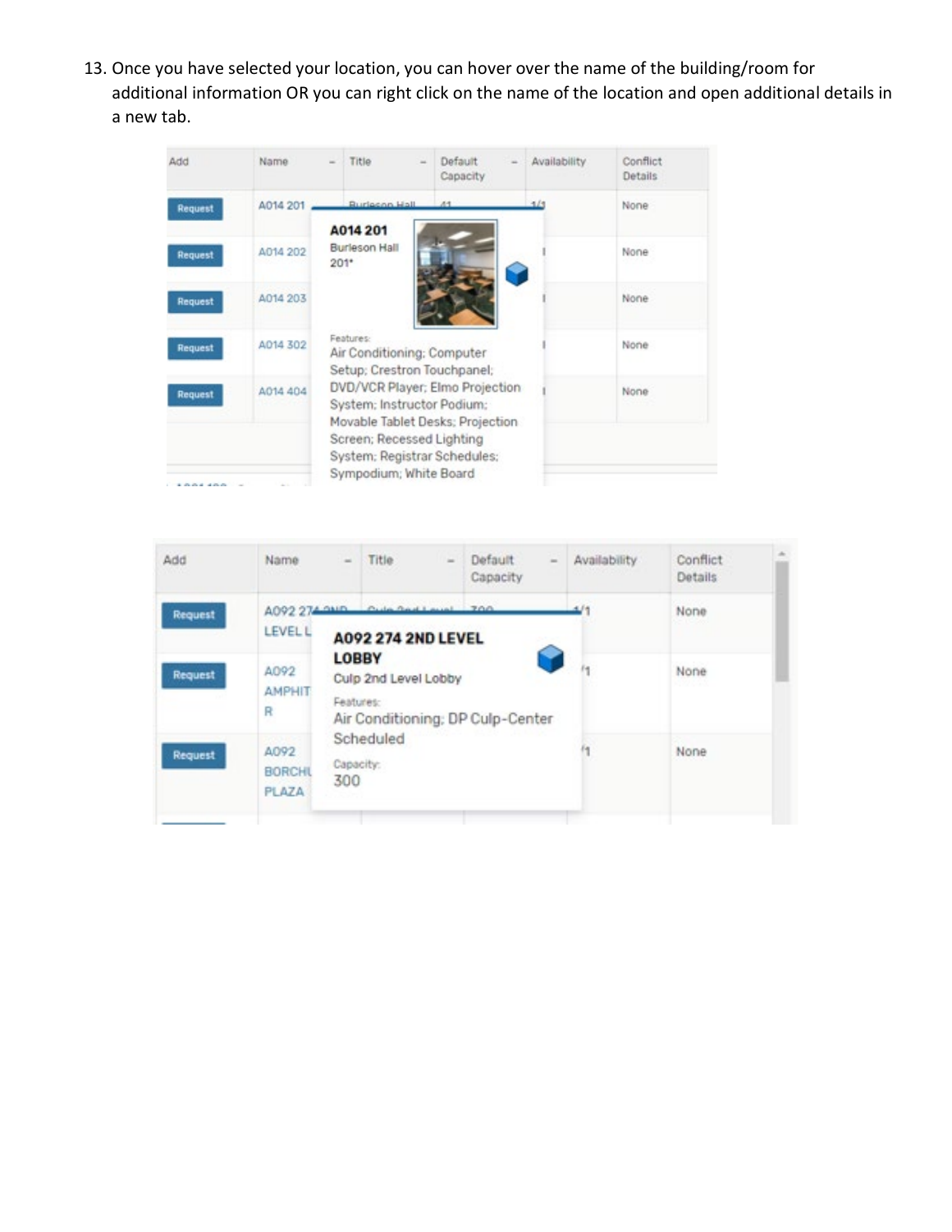13. Once you have selected your location, you can hover over the name of the building/room for additional information OR you can right click on the name of the location and open additional details in a new tab.

| Add             | Name     | Title                             | Default<br>Capacity                                                                               | Availability | Conflict<br>Details |
|-----------------|----------|-----------------------------------|---------------------------------------------------------------------------------------------------|--------------|---------------------|
| Request         | A014 201 | <b>Burlecon Hall</b>              | 44                                                                                                |              | None                |
| Request         | A014 202 | A014 201<br>Burleson Hall<br>201* |                                                                                                   |              | None                |
| Request         | A014 203 |                                   |                                                                                                   |              | None                |
| Request         | A014 302 | Features:                         | Air Conditioning; Computer<br>Setup; Crestron Touchpanel;                                         |              | None                |
| Request         | A014 404 |                                   | DVD/VCR Player; Elmo Projection<br>System: Instructor Podium:<br>Movable Tablet Desks; Projection |              | None                |
| <b>********</b> |          |                                   | Screen; Recessed Lighting<br>System: Registrar Schedules:<br>Sympodium; White Board               |              |                     |

| Add            | Name                                  | ×                         | Title                                              | Default<br>$\equiv$<br>m<br>Capacity | Availability | Conflict<br><b>Details</b> |  |
|----------------|---------------------------------------|---------------------------|----------------------------------------------------|--------------------------------------|--------------|----------------------------|--|
| <b>Request</b> | A092 274 0MD<br><b>LEVEL L</b>        |                           | Cuita Good Laural 700<br><b>A092 274 2ND LEVEL</b> |                                      |              | None                       |  |
| <b>Request</b> | A092<br><b>AMPHIT</b><br>R            | <b>LOBBY</b><br>Features: | Culp 2nd Level Lobby                               | Air Conditioning; DP Culp-Center     |              | None                       |  |
| <b>Request</b> | A092<br><b>BORCHL</b><br><b>PLAZA</b> | Capacity:<br>300          | Scheduled                                          |                                      | 什            | None                       |  |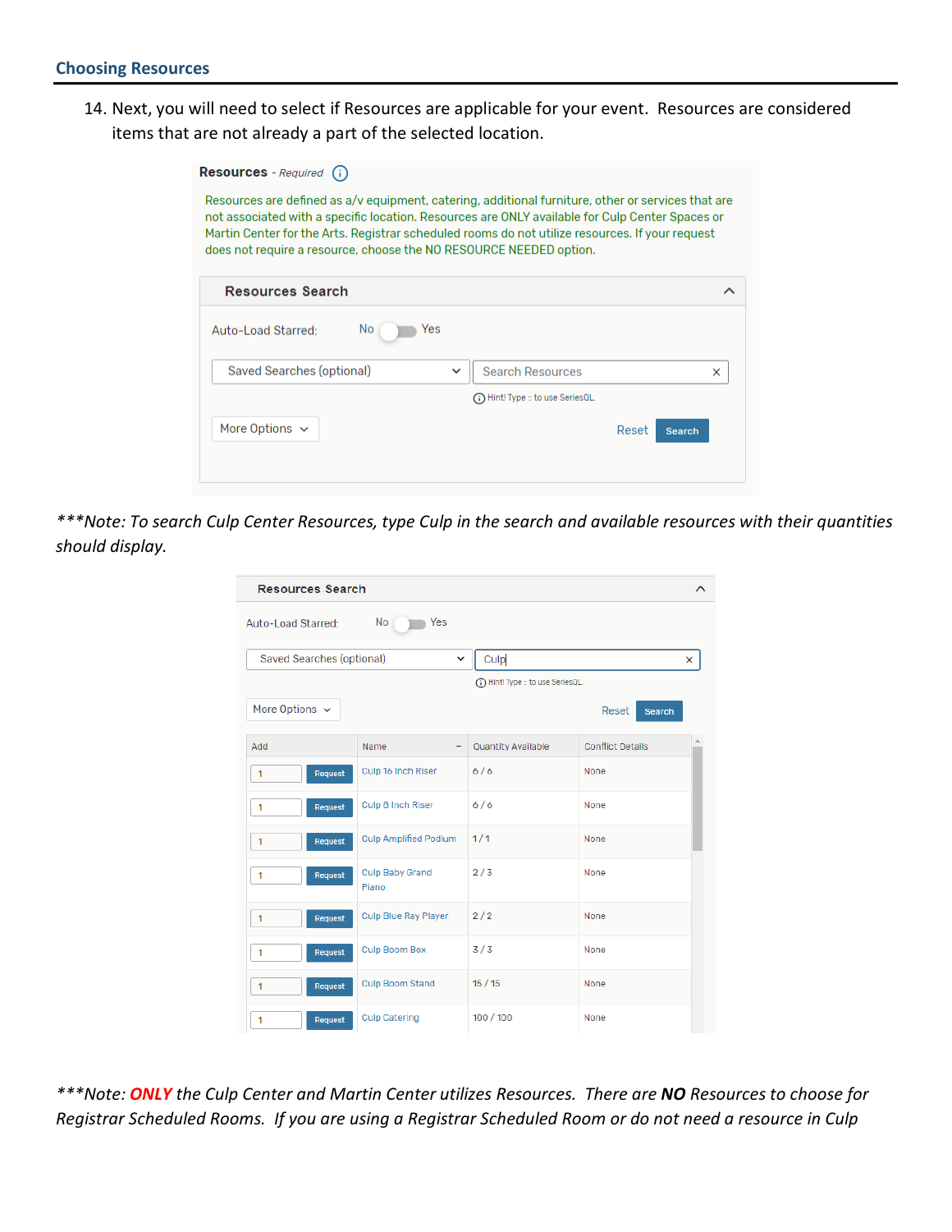14. Next, you will need to select if Resources are applicable for your event. Resources are considered items that are not already a part of the selected location.

| Martin Center for the Arts. Registrar scheduled rooms do not utilize resources. If your request<br>does not require a resource, choose the NO RESOURCE NEEDED option. |                                                                                                                                                                                                       |
|-----------------------------------------------------------------------------------------------------------------------------------------------------------------------|-------------------------------------------------------------------------------------------------------------------------------------------------------------------------------------------------------|
|                                                                                                                                                                       |                                                                                                                                                                                                       |
|                                                                                                                                                                       |                                                                                                                                                                                                       |
| <b>Search Resources</b><br>×                                                                                                                                          |                                                                                                                                                                                                       |
| (1) Hint! Type :: to use SeriesOL.                                                                                                                                    |                                                                                                                                                                                                       |
| Reset<br><b>Search</b>                                                                                                                                                |                                                                                                                                                                                                       |
|                                                                                                                                                                       | Resources are defined as a/v equipment, catering, additional furniture, other or services that are<br>not associated with a specific location. Resources are ONLY available for Culp Center Spaces or |

*\*\*\*Note: To search Culp Center Resources, type Culp in the search and available resources with their quantities should display.* 

| <b>Resources Search</b>   |                                 |                                     | ∧                       |
|---------------------------|---------------------------------|-------------------------------------|-------------------------|
| Auto-Load Starred:        | Yes<br>No                       |                                     |                         |
| Saved Searches (optional) | $\check{~}$                     | Culp                                | X                       |
|                           |                                 | (ii) Hint! Type :: to use SeriesQL. |                         |
| More Options $\sim$       |                                 |                                     | Reset<br><b>Search</b>  |
| Add                       | Name<br>-                       | <b>Quantity Available</b>           | <b>Conflict Details</b> |
| Request<br>1              | Culp 16 Inch Riser              | 6/6                                 | None                    |
| Request<br>1              | Culp 8 Inch Riser               | 6/6                                 | None                    |
| Request<br>1              | <b>Culp Amplified Podium</b>    | 1/1                                 | None                    |
| Request<br>1              | <b>Culp Baby Grand</b><br>Piano | 2/3                                 | None                    |
| Request<br>1              | <b>Culp Blue Ray Player</b>     | 2/2                                 | None                    |
| Request<br>1              | <b>Culp Boom Box</b>            | 3/3                                 | None                    |
| Request<br>1              | <b>Culp Boom Stand</b>          | 15/15                               | None                    |
| Request<br>1              | <b>Culp Catering</b>            | 100/100                             | None                    |

*\*\*\*Note: ONLY the Culp Center and Martin Center utilizes Resources. There are NO Resources to choose for Registrar Scheduled Rooms. If you are using a Registrar Scheduled Room or do not need a resource in Culp*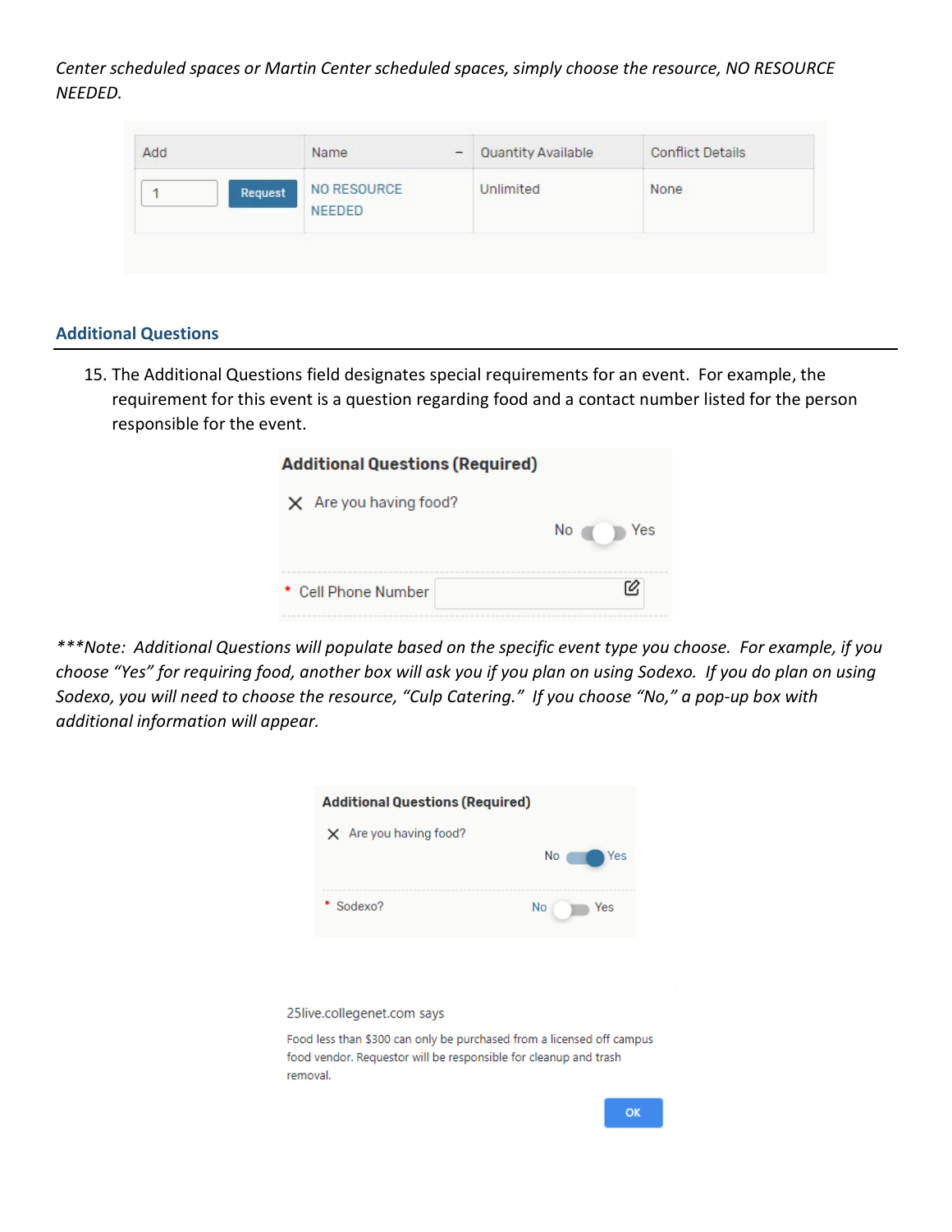*Center scheduled spaces or Martin Center scheduled spaces, simply choose the resource, NO RESOURCE NEEDED.*

| Add          | Name<br>$\overline{\phantom{a}}$ | <b>Quantity Available</b> | <b>Conflict Details</b> |
|--------------|----------------------------------|---------------------------|-------------------------|
| Request<br>调 | NO RESOURCE<br><b>NEEDED</b>     | Unlimited                 | None                    |

### **Additional Questions**

15. The Additional Questions field designates special requirements for an event. For example, the requirement for this event is a question regarding food and a contact number listed for the person responsible for the event.

| <b>Additional Questions (Required)</b> |           |  |  |  |
|----------------------------------------|-----------|--|--|--|
| $\times$ Are you having food?          |           |  |  |  |
|                                        | No<br>Yes |  |  |  |
|                                        |           |  |  |  |
| * Cell Phone Number                    |           |  |  |  |

*\*\*\*Note: Additional Questions will populate based on the specific event type you choose. For example, if you choose "Yes" for requiring food, another box will ask you if you plan on using Sodexo. If you do plan on using Sodexo, you will need to choose the resource, "Culp Catering." If you choose "No," a pop-up box with additional information will appear.*



25live.collegenet.com says

Food less than \$300 can only be purchased from a licensed off campus food vendor. Requestor will be responsible for cleanup and trash removal.